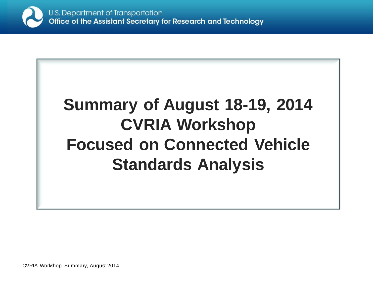

# **Summary of August 18-19, 2014 CVRIA Workshop Focused on Connected Vehicle Standards Analysis**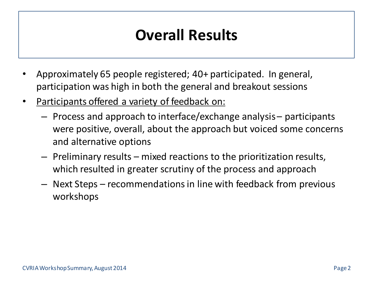### **Overall Results**

- Approximately 65 people registered; 40+ participated. In general, participation was high in both the general and breakout sessions
- Participants offered a variety of feedback on:
	- Process and approach to interface/exchange analysis participants were positive, overall, about the approach but voiced some concerns and alternative options
	- Preliminary results mixed reactions to the prioritization results, which resulted in greater scrutiny of the process and approach
	- Next Steps recommendations in line with feedback from previous workshops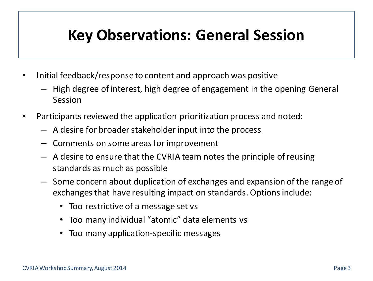#### **Key Observations: General Session**

- Initial feedback/response to content and approach was positive
	- High degree of interest, high degree of engagement in the opening General Session
- Participants reviewed the application prioritization process and noted:
	- A desire for broader stakeholder input into the process
	- Comments on some areas for improvement
	- A desire to ensure that the CVRIA team notes the principle of reusing standards as much as possible
	- Some concern about duplication of exchanges and expansion of the range of exchanges that have resulting impact on standards. Options include:
		- Too restrictive of a message set vs
		- Too many individual "atomic" data elements vs
		- Too many application-specific messages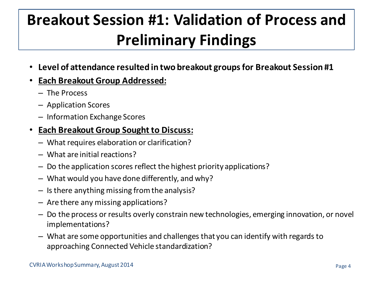# **Breakout Session #1: Validation of Process and Preliminary Findings**

• **Level of attendance resulted in two breakout groups for Breakout Session #1**

#### • **Each Breakout Group Addressed:**

- The Process
- Application Scores
- Information Exchange Scores

#### • **Each Breakout Group Sought to Discuss:**

- What requires elaboration or clarification?
- What are initial reactions?
- Do the application scores reflect the highest priority applications?
- What would you have done differently, and why?
- Is there anything missing from the analysis?
- Are there any missing applications?
- Do the process or results overly constrain new technologies, emerging innovation, or novel implementations?
- What are some opportunities and challenges that you can identify with regards to approaching Connected Vehicle standardization?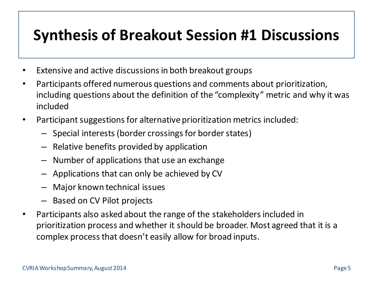#### **Synthesis of Breakout Session #1 Discussions**

- Extensive and active discussions in both breakout groups
- Participants offered numerous questions and comments about prioritization, including questions about the definition of the "complexity" metric and why it was included
- Participant suggestions for alternative prioritization metrics included:
	- Special interests (border crossings for border states)
	- Relative benefits provided by application
	- Number of applications that use an exchange
	- Applications that can only be achieved by CV
	- Major known technical issues
	- Based on CV Pilot projects
- Participants also asked about the range of the stakeholders included in prioritization process and whether it should be broader. Most agreed that it is a complex process that doesn't easily allow for broad inputs.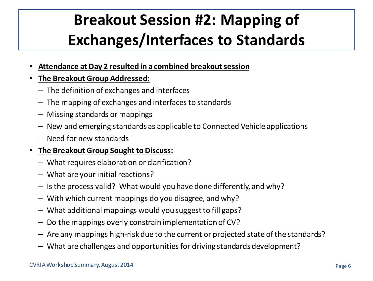## **Breakout Session #2: Mapping of Exchanges/Interfaces to Standards**

- **Attendance at Day 2 resulted in a combined breakout session**
- **The Breakout Group Addressed:**
	- The definition of exchanges and interfaces
	- The mapping of exchanges and interfaces to standards
	- Missing standards or mappings
	- New and emerging standards as applicable to Connected Vehicle applications
	- Need for new standards

#### • **The Breakout Group Sought to Discuss:**

- What requires elaboration or clarification?
- What are your initial reactions?
- Is the process valid? What would you have done differently, and why?
- With which current mappings do you disagree, and why?
- What additional mappings would you suggest to fill gaps?
- Do the mappings overly constrain implementation of CV?
- Are any mappings high-risk due to the current or projected state of the standards?
- What are challenges and opportunities for driving standards development?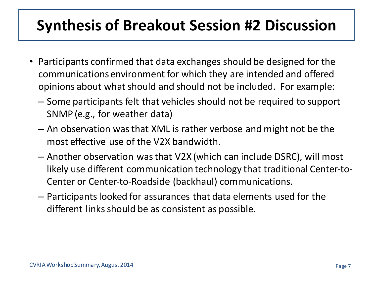### **Synthesis of Breakout Session #2 Discussion**

- Participants confirmed that data exchanges should be designed for the communications environment for which they are intended and offered opinions about what should and should not be included. For example:
	- Some participants felt that vehicles should not be required to support SNMP (e.g., for weather data)
	- An observation was that XML is rather verbose and might not be the most effective use of the V2X bandwidth.
	- Another observation was that V2X (which can include DSRC), will most likely use different communication technology that traditional Center-to-Center or Center-to-Roadside (backhaul) communications.
	- Participants looked for assurances that data elements used for the different links should be as consistent as possible.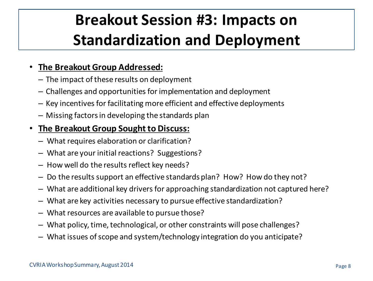### **Breakout Session #3: Impacts on Standardization and Deployment**

#### • **The Breakout Group Addressed:**

- The impact of these results on deployment
- Challenges and opportunities for implementation and deployment
- Key incentives for facilitating more efficient and effective deployments
- Missing factors in developing the standards plan

#### • **The Breakout Group Sought to Discuss:**

- What requires elaboration or clarification?
- What are your initial reactions? Suggestions?
- How well do the results reflect key needs?
- Do the results support an effective standards plan? How? How do they not?
- What are additional key drivers for approaching standardization not captured here?
- What are key activities necessary to pursue effective standardization?
- What resources are available to pursue those?
- What policy, time, technological, or other constraints will pose challenges?
- What issues of scope and system/technology integration do you anticipate?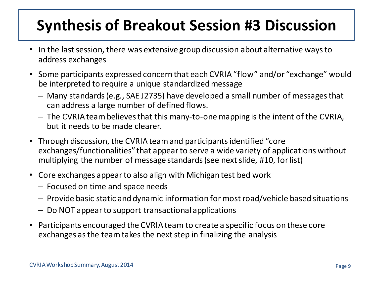### **Synthesis of Breakout Session #3 Discussion**

- In the last session, there was extensive group discussion about alternative ways to address exchanges
- Some participants expressed concern that each CVRIA "flow" and/or "exchange" would be interpreted to require a unique standardized message
	- Many standards (e.g., SAE J2735) have developed a small number of messages that can address a large number of defined flows.
	- The CVRIA team believes that this many-to-one mapping is the intent of the CVRIA, but it needs to be made clearer.
- Through discussion, the CVRIA team and participants identified "core exchanges/functionalities" that appear to serve a wide variety of applications without multiplying the number of message standards (see next slide, #10, for list)
- Core exchanges appear to also align with Michigan test bed work
	- Focused on time and space needs
	- Provide basic static and dynamic information for most road/vehicle based situations
	- Do NOT appear to support transactional applications
- Participants encouraged the CVRIA team to create a specific focus on these core exchanges as the team takes the next step in finalizing the analysis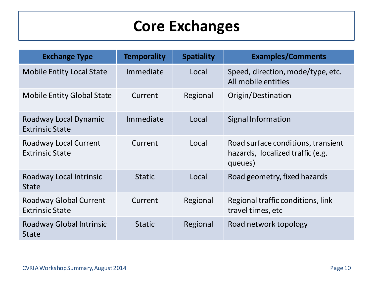### **Core Exchanges**

| <b>Exchange Type</b>                                    | <b>Temporality</b> | <b>Spatiality</b> | <b>Examples/Comments</b>                                                          |
|---------------------------------------------------------|--------------------|-------------------|-----------------------------------------------------------------------------------|
| <b>Mobile Entity Local State</b>                        | Immediate          | Local             | Speed, direction, mode/type, etc.<br>All mobile entities                          |
| <b>Mobile Entity Global State</b>                       | Current            | Regional          | Origin/Destination                                                                |
| Roadway Local Dynamic<br><b>Extrinsic State</b>         | Immediate          | Local             | Signal Information                                                                |
| <b>Roadway Local Current</b><br><b>Extrinsic State</b>  | Current            | Local             | Road surface conditions, transient<br>hazards, localized traffic (e.g.<br>queues) |
| Roadway Local Intrinsic<br><b>State</b>                 | <b>Static</b>      | Local             | Road geometry, fixed hazards                                                      |
| <b>Roadway Global Current</b><br><b>Extrinsic State</b> | Current            | Regional          | Regional traffic conditions, link<br>travel times, etc                            |
| <b>Roadway Global Intrinsic</b><br><b>State</b>         | <b>Static</b>      | Regional          | Road network topology                                                             |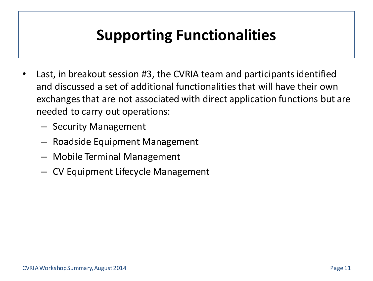### **Supporting Functionalities**

- Last, in breakout session #3, the CVRIA team and participants identified and discussed a set of additional functionalities that will have their own exchanges that are not associated with direct application functions but are needed to carry out operations:
	- Security Management
	- Roadside Equipment Management
	- Mobile Terminal Management
	- CV Equipment Lifecycle Management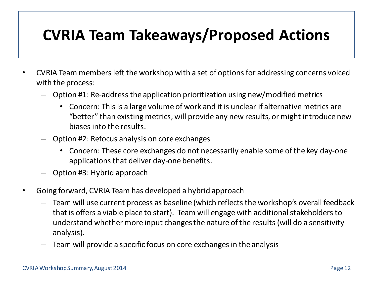#### **CVRIA Team Takeaways/Proposed Actions**

- CVRIA Team members left the workshop with a set of options for addressing concerns voiced with the process:
	- Option #1: Re-address the application prioritization using new/modified metrics
		- Concern: This is a large volume of work and it is unclear if alternative metrics are "better" than existing metrics, will provide any new results, or might introduce new biases into the results.
	- Option #2: Refocus analysis on core exchanges
		- Concern: These core exchanges do not necessarily enable some of the key day-one applications that deliver day-one benefits.
	- Option #3: Hybrid approach
- Going forward, CVRIA Team has developed a hybrid approach
	- Team will use current process as baseline (which reflects the workshop's overall feedback that is offers a viable place to start). Team will engage with additional stakeholders to understand whether more input changes the nature of the results (will do a sensitivity analysis).
	- Team will provide a specific focus on core exchanges in the analysis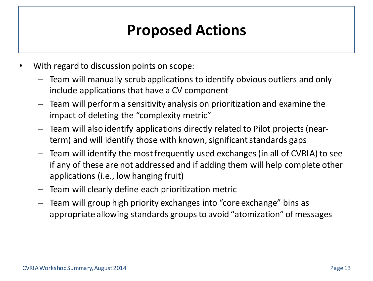### **Proposed Actions**

- With regard to discussion points on scope:
	- Team will manually scrub applications to identify obvious outliers and only include applications that have a CV component
	- Team will perform a sensitivity analysis on prioritization and examine the impact of deleting the "complexity metric"
	- Team will also identify applications directly related to Pilot projects (nearterm) and will identify those with known, significant standards gaps
	- Team will identify the most frequently used exchanges (in all of CVRIA) to see if any of these are not addressed and if adding them will help complete other applications (i.e., low hanging fruit)
	- Team will clearly define each prioritization metric
	- Team will group high priority exchanges into "core exchange" bins as appropriate allowing standards groups to avoid "atomization" of messages